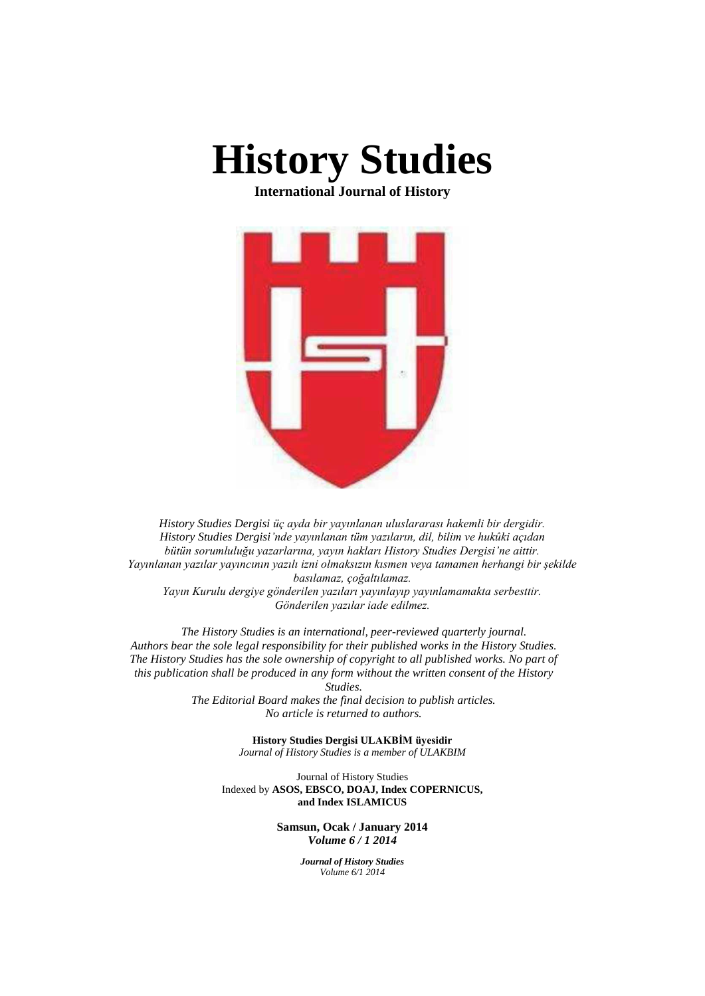

**International Journal of History**



*History Studies Dergisi üç ayda bir yayınlanan uluslararası hakemli bir dergidir. History Studies Dergisi'nde yayınlanan tüm yazıların, dil, bilim ve hukûki açıdan bütün sorumluluğu yazarlarına, yayın hakları History Studies Dergisi'ne aittir. Yayınlanan yazılar yayıncının yazılı izni olmaksızın kısmen veya tamamen herhangi bir şekilde basılamaz, çoğaltılamaz. Yayın Kurulu dergiye gönderilen yazıları yayınlayıp yayınlamamakta serbesttir.*

*Gönderilen yazılar iade edilmez.*

*The History Studies is an international, peer-reviewed quarterly journal. Authors bear the sole legal responsibility for their published works in the History Studies. The History Studies has the sole ownership of copyright to all published works. No part of this publication shall be produced in any form without the written consent of the History* 

*Studies.* 

*The Editorial Board makes the final decision to publish articles. No article is returned to authors.* 

> **History Studies Dergisi ULAKBİM üyesidir** *Journal of History Studies is a member of ULAKBIM*

Journal of History Studies Indexed by **ASOS, EBSCO, DOAJ, Index COPERNICUS, and Index ISLAMICUS**

> **Samsun, Ocak / January 2014** *Volume 6 / 1 2014*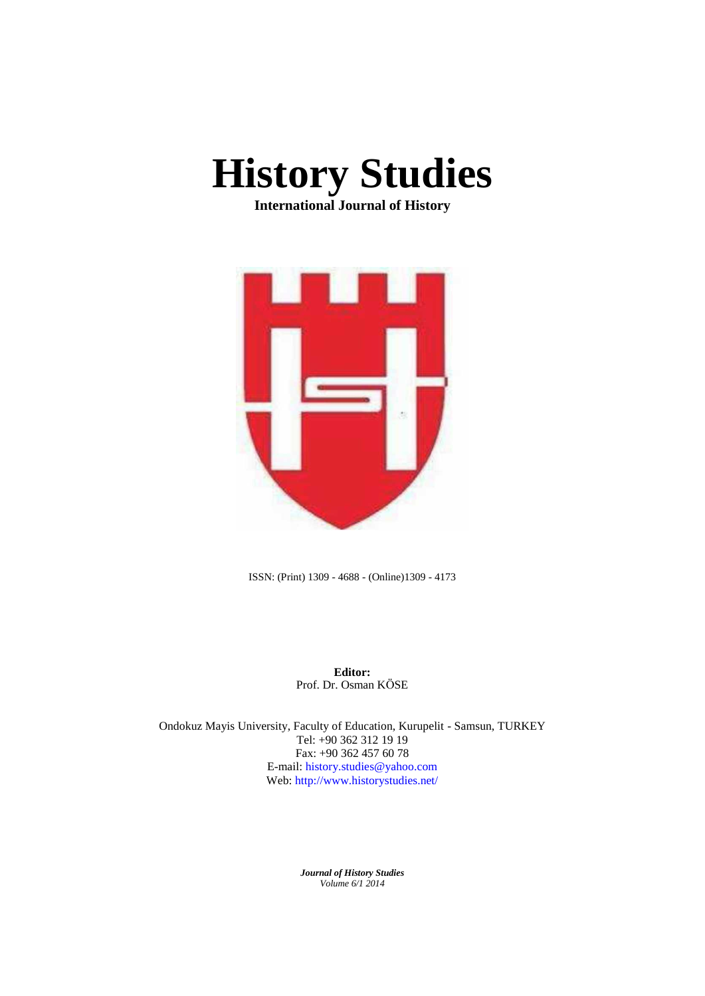

**International Journal of History**



ISSN: (Print) 1309 - 4688 - (Online)1309 - 4173

**Editor:** Prof. Dr. Osman KÖSE

Ondokuz Mayis University, Faculty of Education, Kurupelit - Samsun, TURKEY Tel: +90 362 312 19 19 Fax: +90 362 457 60 78 E-mail: history.studies@yahoo.com Web: http://www.historystudies.net/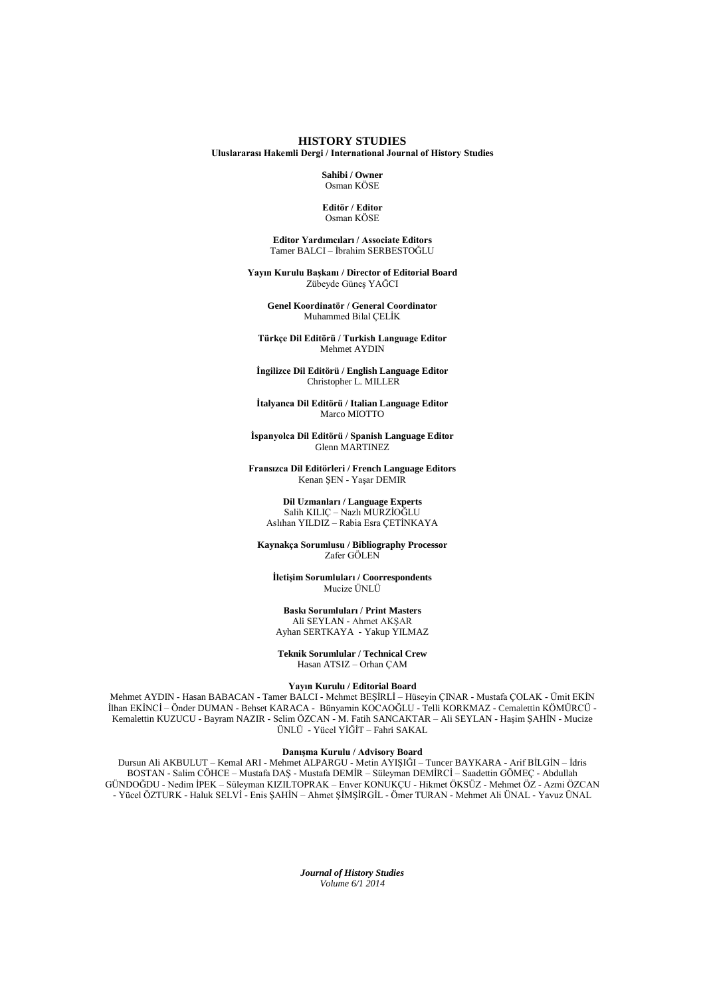**HISTORY STUDIES**

**Uluslararası Hakemli Dergi / International Journal of History Studies**

**Sahibi / Owner** Osman KÖSE

**Editör / Editor** Osman KÖSE

**Editor Yardımcıları / Associate Editors** Tamer BALCI – İbrahim SERBESTOĞLU

**Yayın Kurulu Başkanı / Director of Editorial Board** Zübeyde Güneş YAĞCI

**Genel Koordinatör / General Coordinator** Muhammed Bilal ÇELİK

**Türkçe Dil Editörü / Turkish Language Editor** Mehmet AYDIN

**İngilizce Dil Editörü / English Language Editor** Christopher L. MILLER

**İtalyanca Dil Editörü / Italian Language Editor** Marco MIOTTO

**İspanyolca Dil Editörü / Spanish Language Editor** Glenn MARTINEZ

**Fransızca Dil Editörleri / French Language Editors** Kenan ŞEN - Yaşar DEMIR

**Dil Uzmanları / Language Experts** Salih KILIÇ – Nazlı MURZİOĞLU Aslıhan YILDIZ – Rabia Esra ÇETİNKAYA

**Kaynakça Sorumlusu / Bibliography Processor** Zafer GÖLEN

**İletişim Sorumluları / Coorrespondents** Mucize ÜNLÜ

**Baskı Sorumluları / Print Masters** Ali SEYLAN - Ahmet AKŞAR Ayhan SERTKAYA - Yakup YILMAZ

**Teknik Sorumlular / Technical Crew** Hasan ATSIZ – Orhan ÇAM

**Yayın Kurulu / Editorial Board**

Mehmet AYDIN - Hasan BABACAN - Tamer BALCI - Mehmet BEŞİRLİ – Hüseyin ÇINAR - Mustafa ÇOLAK - Ümit EKİN İlhan EKİNCİ – Önder DUMAN - Behset KARACA - Bünyamin KOCAOĞLU - Telli KORKMAZ - Cemalettin KÖMÜRCÜ - Kemalettin KUZUCU - Bayram NAZIR - Selim ÖZCAN - M. Fatih SANCAKTAR – Ali SEYLAN - Haşim ŞAHİN - Mucize ÜNLÜ - Yücel YİĞİT – Fahri SAKAL

### **Danışma Kurulu / Advisory Board**

Dursun Ali AKBULUT – Kemal ARI - Mehmet ALPARGU - Metin AYIŞIĞI – Tuncer BAYKARA - Arif BİLGİN – İdris BOSTAN - Salim CÖHCE – Mustafa DAŞ - Mustafa DEMİR – Süleyman DEMİRCİ – Saadettin GÖMEÇ - Abdullah GÜNDOĞDU - Nedim İPEK – Süleyman KIZILTOPRAK – Enver KONUKÇU - Hikmet ÖKSÜZ - Mehmet ÖZ - Azmi ÖZCAN - Yücel ÖZTURK - Haluk SELVİ - Enis ŞAHİN – Ahmet ŞİMŞİRGİL - Ömer TURAN - Mehmet Ali ÜNAL - Yavuz ÜNAL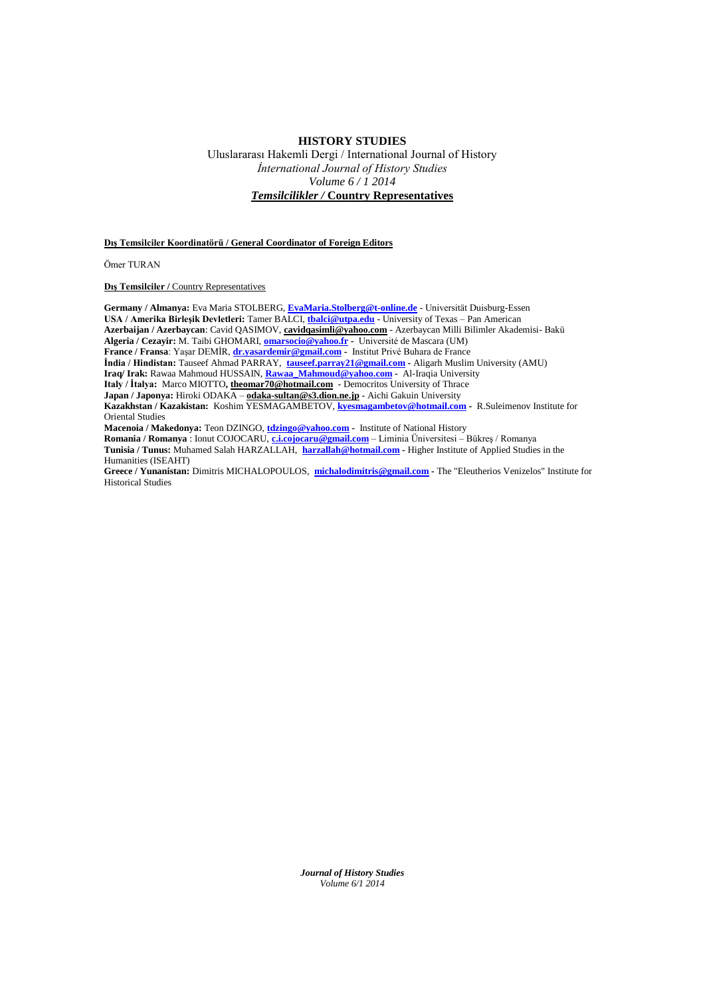## **HISTORY STUDIES**

Uluslararası Hakemli Dergi / International Journal of History *İnternational Journal of History Studies Volume 6 / 1 2014 Temsilcilikler /* **Country Representatives**

**Dış Temsilciler Koordinatörü / General Coordinator of Foreign Editors**

Ömer TURAN

**Dis Temsilciler** / Country Representatives

**Germany / Almanya:** Eva Maria STOLBERG, **[EvaMaria.Stolberg@t-online.de](mailto:EvaMaria.Stolberg@t-online.de)** - Universität Duisburg-Essen **USA / Amerika Birleşik Devletleri:** Tamer BALCI, **[tbalci@utpa.edu](mailto:tbalci@utpa.edu)** - University of Texas – Pan American **Azerbaijan / Azerbaycan**: Cavid QASIMOV, **cavidqasimli@yahoo.com** - Azerbaycan Milli Bilimler Akademisi- Bakü **Algeria / Cezayir:** M. Taibi GHOMARI, **[omarsocio@yahoo.fr](mailto:omarsocio@yahoo.fr) -** Université de Mascara (UM) **France / Fransa**: Yaşar DEMİR, **[dr.yasardemir@gmail.com](mailto:dr.yasardemir@gmail) -** Institut Privé Buhara de France **İndia / Hindistan:** Tauseef Ahmad PARRAY, **[tauseef.parray21@gmail.com](mailto:tauseef.parray21@gmail.com) -** Aligarh Muslim University (AMU) **Iraq/ Irak:** Rawaa Mahmoud HUSSAIN, **[Rawaa\\_Mahmoud@yahoo.com](mailto:Rawaa_Mahmoud@yahoo.com) -** Al-Iraqia University **Italy / İtalya:** Marco MIOTTO**, theomar70@hotmail.com** - Democritos University of Thrace **Japan / Japonya:** Hiroki ODAKA – **odaka-sultan@s3.dion.ne.jp** - Aichi Gakuin University **Kazakhstan / Kazakistan:** Koshim YESMAGAMBETOV, **[kyesmagambetov@hotmail.com](mailto:kyesmagambetov@hotmail.com) -** R.Suleimenov Institute for Oriental Studies **Macenoia / Makedonya:** Teon DZINGO, **[tdzingo@yahoo.com](mailto:tdzingo@yahoo.com) -** Institute of National History **Romania / Romanya** : Ionut COJOCARU, **[c.i.cojocaru@gmail.com](mailto:c.i.cojocaru@gmail.com)** – Liminia Üniversitesi – Bükreş / Romanya

**Tunisia / Tunus:** Muhamed Salah HARZALLAH, **[harzallah@hotmail.com](mailto:harzallah@hotmail.com) -** Higher Institute of Applied Studies in the Humanities (ISEAHT)

**Greece / Yunanistan:** Dimitris MICHALOPOULOS, **[michalodimitris@gmail.com](mailto:michalodimitris@gmail.com) -** The "Eleutherios Venizelos" Institute for Historical Studies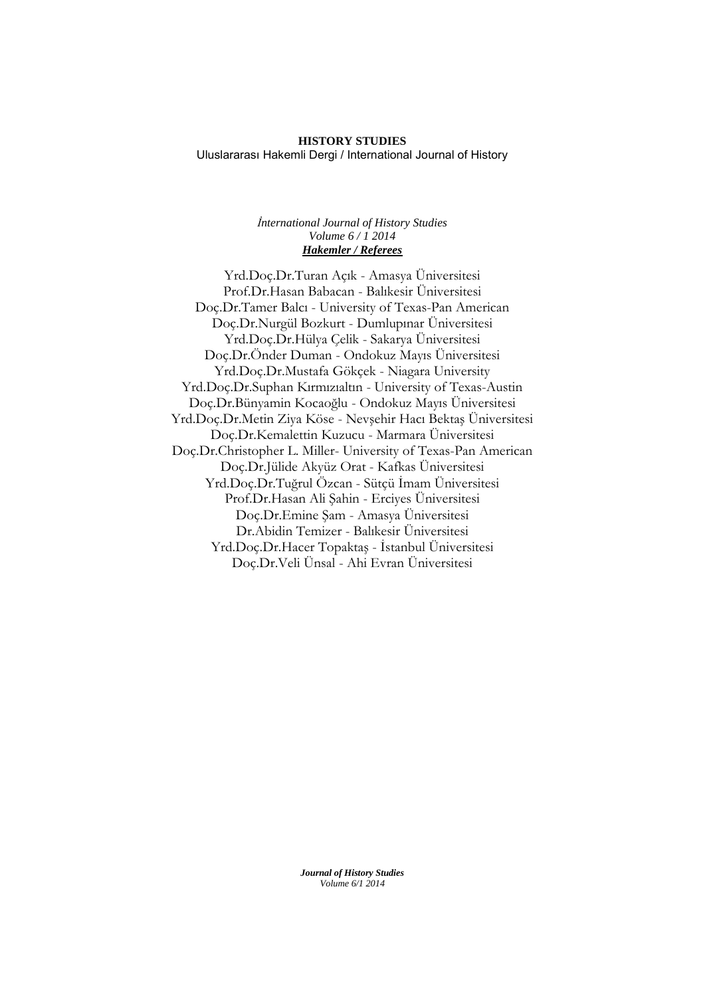## **HISTORY STUDIES** Uluslararası Hakemli Dergi / International Journal of History

## *İnternational Journal of History Studies Volume 6 / 1 2014 Hakemler / Referees*

Yrd.Doç.Dr.Turan Açık - Amasya Üniversitesi Prof.Dr.Hasan Babacan - Balıkesir Üniversitesi Doç.Dr.Tamer Balcı - University of Texas-Pan American Doç.Dr.Nurgül Bozkurt - Dumlupınar Üniversitesi Yrd.Doç.Dr.Hülya Çelik - Sakarya Üniversitesi Doç.Dr.Önder Duman - Ondokuz Mayıs Üniversitesi Yrd.Doç.Dr.Mustafa Gökçek - Niagara University Yrd.Doç.Dr.Suphan Kırmızıaltın - University of Texas-Austin Doç.Dr.Bünyamin Kocaoğlu - Ondokuz Mayıs Üniversitesi Yrd.Doç.Dr.Metin Ziya Köse - Nevşehir Hacı Bektaş Üniversitesi Doç.Dr.Kemalettin Kuzucu - Marmara Üniversitesi Doç.Dr.Christopher L. Miller- University of Texas-Pan American Doç.Dr.Jülide Akyüz Orat - Kafkas Üniversitesi Yrd.Doç.Dr.Tuğrul Özcan - Sütçü İmam Üniversitesi Prof.Dr.Hasan Ali Şahin - Erciyes Üniversitesi Doç.Dr.Emine Şam - Amasya Üniversitesi Dr.Abidin Temizer - Balıkesir Üniversitesi Yrd.Doç.Dr.Hacer Topaktaş - İstanbul Üniversitesi Doç.Dr.Veli Ünsal - Ahi Evran Üniversitesi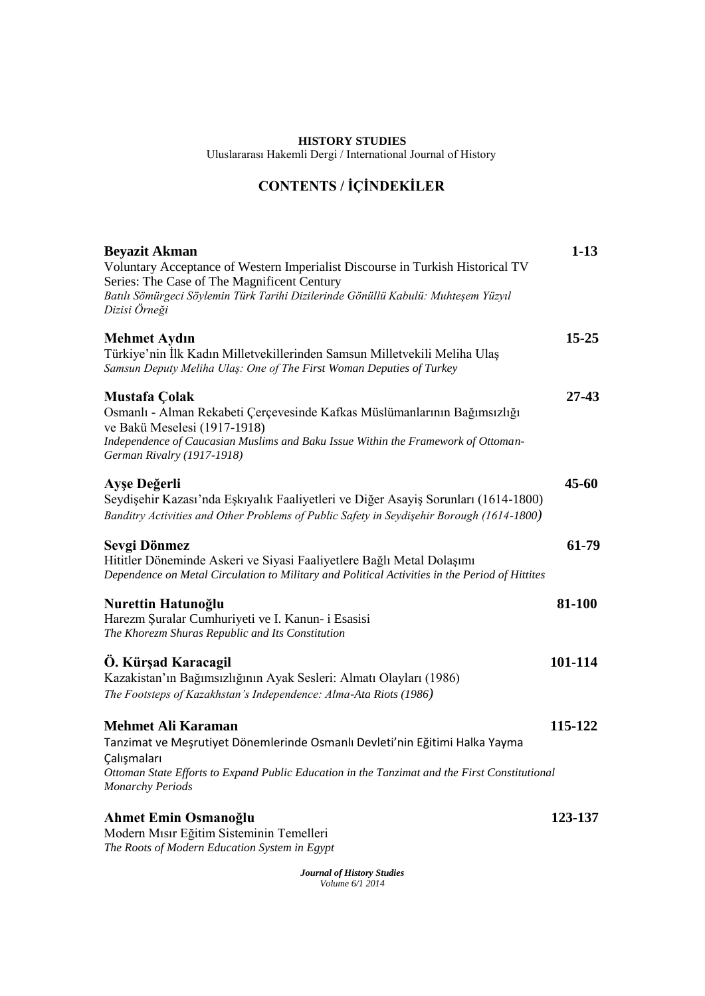## **HISTORY STUDIES**

Uluslararası Hakemli Dergi / International Journal of History

# **CONTENTS / İÇİNDEKİLER**

| <b>Beyazit Akman</b><br>Voluntary Acceptance of Western Imperialist Discourse in Turkish Historical TV<br>Series: The Case of The Magnificent Century<br>Batılı Sömürgeci Söylemin Türk Tarihi Dizilerinde Gönüllü Kabulü: Muhteşem Yüzyıl<br>Dizisi Örneği | $1-13$    |
|-------------------------------------------------------------------------------------------------------------------------------------------------------------------------------------------------------------------------------------------------------------|-----------|
| <b>Mehmet Aydın</b><br>Türkiye'nin İlk Kadın Milletvekillerinden Samsun Milletvekili Meliha Ulaş<br>Samsun Deputy Meliha Ulaş: One of The First Woman Deputies of Turkey                                                                                    | $15 - 25$ |
| Mustafa Çolak<br>Osmanlı - Alman Rekabeti Çerçevesinde Kafkas Müslümanlarının Bağımsızlığı<br>ve Bakü Meselesi (1917-1918)<br>Independence of Caucasian Muslims and Baku Issue Within the Framework of Ottoman-<br>German Rivalry (1917-1918)               | $27 - 43$ |
| Ayşe Değerli<br>Seydişehir Kazası'nda Eşkıyalık Faaliyetleri ve Diğer Asayiş Sorunları (1614-1800)<br>Banditry Activities and Other Problems of Public Safety in Seydişehir Borough (1614-1800)                                                             | $45 - 60$ |
| Sevgi Dönmez<br>Hititler Döneminde Askeri ve Siyasi Faaliyetlere Bağlı Metal Dolaşımı<br>Dependence on Metal Circulation to Military and Political Activities in the Period of Hittites                                                                     | 61-79     |
| Nurettin Hatunoğlu<br>Harezm Şuralar Cumhuriyeti ve I. Kanun- i Esasisi<br>The Khorezm Shuras Republic and Its Constitution                                                                                                                                 | 81-100    |
| Ö. Kürşad Karacagil<br>Kazakistan'ın Bağımsızlığının Ayak Sesleri: Almatı Olayları (1986)<br>The Footsteps of Kazakhstan's Independence: Alma-Ata Riots (1986)                                                                                              | 101-114   |
| <b>Mehmet Ali Karaman</b><br>Tanzimat ve Meşrutiyet Dönemlerinde Osmanlı Devleti'nin Eğitimi Halka Yayma<br>Calışmaları<br>Ottoman State Efforts to Expand Public Education in the Tanzimat and the First Constitutional<br><b>Monarchy Periods</b>         | 115-122   |
| Ahmet Emin Osmanoğlu<br>Modern Mısır Eğitim Sisteminin Temelleri<br>The Roots of Modern Education System in Egypt                                                                                                                                           | 123-137   |